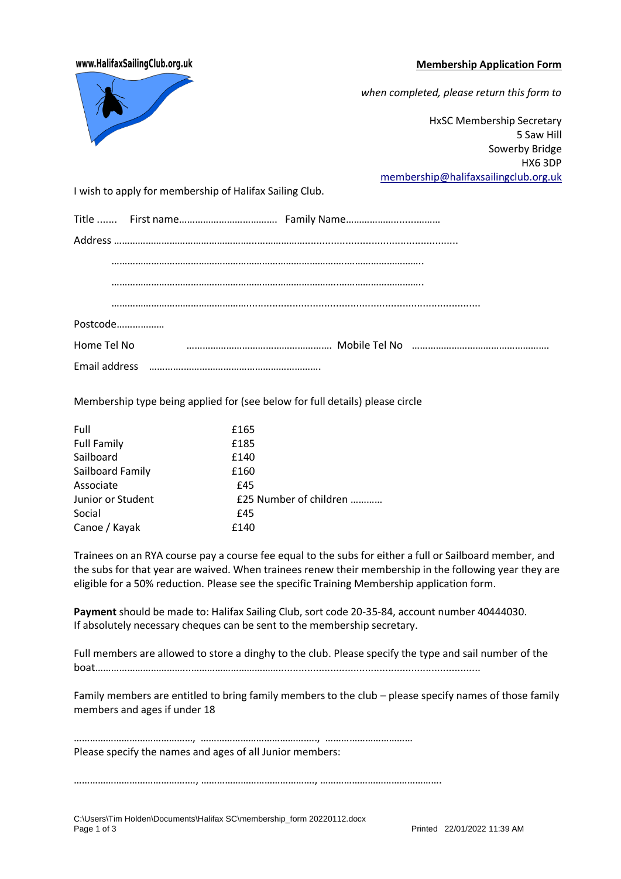## **Membership Application Form**

HX6 3DP

# www.HalifaxSailingClub.org.uk



Membership type being applied for (see below for full details) please circle

| Full               | £165                   |
|--------------------|------------------------|
| <b>Full Family</b> | £185                   |
| Sailboard          | £140                   |
| Sailboard Family   | £160                   |
| Associate          | £45                    |
| Junior or Student  | £25 Number of children |
| Social             | £45                    |
| Canoe / Kayak      | £140                   |

Trainees on an RYA course pay a course fee equal to the subs for either a full or Sailboard member, and the subs for that year are waived. When trainees renew their membership in the following year they are eligible for a 50% reduction. Please see the specific Training Membership application form.

**Payment** should be made to: Halifax Sailing Club, sort code 20-35-84, account number 40444030. If absolutely necessary cheques can be sent to the membership secretary.

Full members are allowed to store a dinghy to the club. Please specify the type and sail number of the boat……………………………...……………………………......................................................................

Family members are entitled to bring family members to the club – please specify names of those family members and ages if under 18

………………………………………, …………………………………….., …………………………… Please specify the names and ages of all Junior members:

………………………………………., ……………………………………., ……………………………………….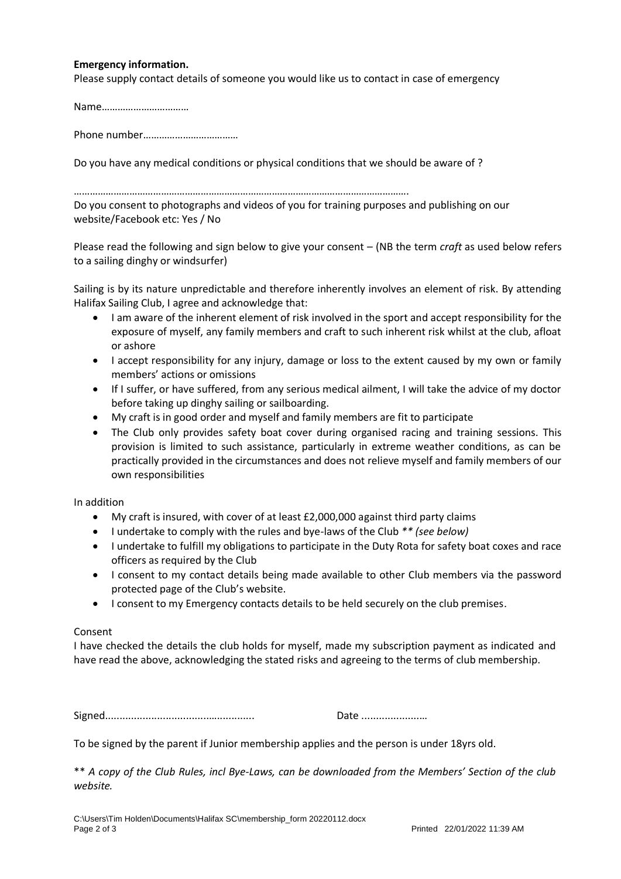## **Emergency information.**

Please supply contact details of someone you would like us to contact in case of emergency

Name……………………………

Phone number………………………………

Do you have any medical conditions or physical conditions that we should be aware of ?

#### ……………………………………………………………………………………………………………….

Do you consent to photographs and videos of you for training purposes and publishing on our website/Facebook etc: Yes / No

Please read the following and sign below to give your consent – (NB the term *craft* as used below refers to a sailing dinghy or windsurfer)

Sailing is by its nature unpredictable and therefore inherently involves an element of risk. By attending Halifax Sailing Club, I agree and acknowledge that:

- I am aware of the inherent element of risk involved in the sport and accept responsibility for the exposure of myself, any family members and craft to such inherent risk whilst at the club, afloat or ashore
- I accept responsibility for any injury, damage or loss to the extent caused by my own or family members' actions or omissions
- If I suffer, or have suffered, from any serious medical ailment, I will take the advice of my doctor before taking up dinghy sailing or sailboarding.
- My craft is in good order and myself and family members are fit to participate
- The Club only provides safety boat cover during organised racing and training sessions. This provision is limited to such assistance, particularly in extreme weather conditions, as can be practically provided in the circumstances and does not relieve myself and family members of our own responsibilities

In addition

- My craft is insured, with cover of at least £2,000,000 against third party claims
- I undertake to comply with the rules and bye-laws of the Club *\*\* (see below)*
- I undertake to fulfill my obligations to participate in the Duty Rota for safety boat coxes and race officers as required by the Club
- I consent to my contact details being made available to other Club members via the password protected page of the Club's website.
- I consent to my Emergency contacts details to be held securely on the club premises.

## Consent

I have checked the details the club holds for myself, made my subscription payment as indicated and have read the above, acknowledging the stated risks and agreeing to the terms of club membership.

Signed....................................…............. Date ....................…

To be signed by the parent if Junior membership applies and the person is under 18yrs old.

\*\* *A copy of the Club Rules, incl Bye-Laws, can be downloaded from the Members' Section of the club website.*